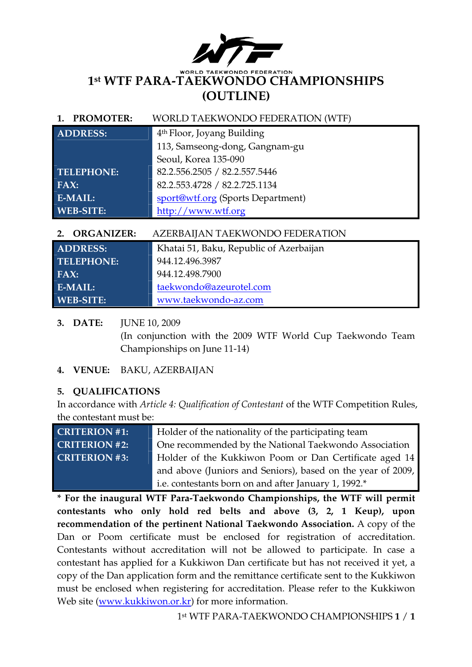

#### WORLD. **WONDO FEDERATION 1st WTF PARA-TAEKWONDO CHAMPIONSHIPS (OUTLINE)**

#### **1. PROMOTER:** WORLD TAEKWONDO FEDERATION (WTF)

| <b>ADDRESS:</b>   | 4 <sup>th</sup> Floor, Joyang Building |  |
|-------------------|----------------------------------------|--|
|                   | 113, Samseong-dong, Gangnam-gu         |  |
|                   | Seoul, Korea 135-090                   |  |
| <b>TELEPHONE:</b> | 82.2.556.2505 / 82.2.557.5446          |  |
| FAX:              | 82.2.553.4728 / 82.2.725.1134          |  |
| E-MAIL:           | sport@wtf.org (Sports Department)      |  |
| <b>WEB-SITE:</b>  | http://www.wtf.org                     |  |

#### **2. ORGANIZER:** AZERBAIJAN TAEKWONDO FEDERATION

| <b>ADDRESS:</b>   | Khatai 51, Baku, Republic of Azerbaijan |  |  |
|-------------------|-----------------------------------------|--|--|
| <b>TELEPHONE:</b> | 944.12.496.3987                         |  |  |
| FAX:              | 944.12.498.7900                         |  |  |
| E-MAIL:           | taekwondo@azeurotel.com                 |  |  |
| <b>WEB-SITE:</b>  | www.taekwondo-az.com                    |  |  |

#### **3. DATE:** JUNE 10, 2009

(In conjunction with the 2009 WTF World Cup Taekwondo Team Championships on June 11-14)

#### **4. VENUE:** BAKU, AZERBAIJAN

#### **5. QUALIFICATIONS**

In accordance with *Article 4: Qualification of Contestant* of the WTF Competition Rules, the contestant must be:

**CRITERION #1:** Holder of the nationality of the participating team **CRITERION #2:** One recommended by the National Taekwondo Association **CRITERION #3:** Holder of the Kukkiwon Poom or Dan Certificate aged 14 and above (Juniors and Seniors), based on the year of 2009, i.e. contestants born on and after January 1, 1992.\*

**\* For the inaugural WTF Para-Taekwondo Championships, the WTF will permit contestants who only hold red belts and above (3, 2, 1 Keup), upon recommendation of the pertinent National Taekwondo Association.** A copy of the Dan or Poom certificate must be enclosed for registration of accreditation. Contestants without accreditation will not be allowed to participate. In case a contestant has applied for a Kukkiwon Dan certificate but has not received it yet, a copy of the Dan application form and the remittance certificate sent to the Kukkiwon must be enclosed when registering for accreditation. Please refer to the Kukkiwon Web site (www.kukkiwon.or.kr) for more information.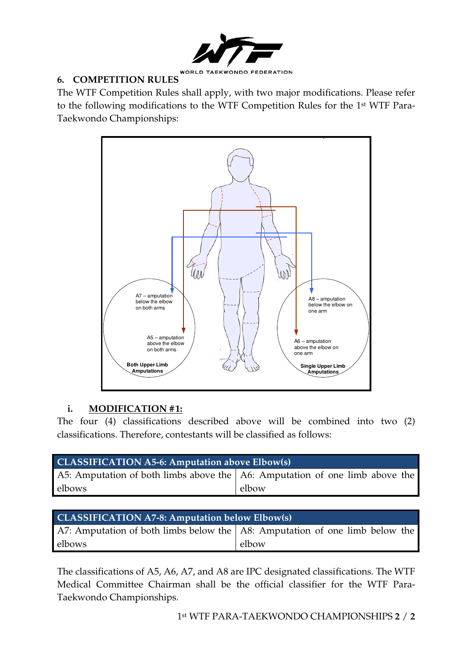

#### **6. COMPETITION RULES**

The WTF Competition Rules shall apply, with two major modifications. Please refer to the following modifications to the WTF Competition Rules for the 1st WTF Para-Taekwondo Championships:



#### **i. MODIFICATION #1:**

The four (4) classifications described above will be combined into two (2) classifications. Therefore, contestants will be classified as follows:

| <b>CLASSIFICATION A5-6: Amputation above Elbow(s)</b>                               |       |  |  |  |  |
|-------------------------------------------------------------------------------------|-------|--|--|--|--|
| A5: Amputation of both limbs above the $\vert$ A6: Amputation of one limb above the |       |  |  |  |  |
| elbows                                                                              | elbow |  |  |  |  |

#### **CLASSIFICATION A7-8: Amputation below Elbow(s)**  A7: Amputation of both limbs below the elbows A8: Amputation of one limb below the elbow

The classifications of A5, A6, A7, and A8 are IPC designated classifications. The WTF Medical Committee Chairman shall be the official classifier for the WTF Para-Taekwondo Championships.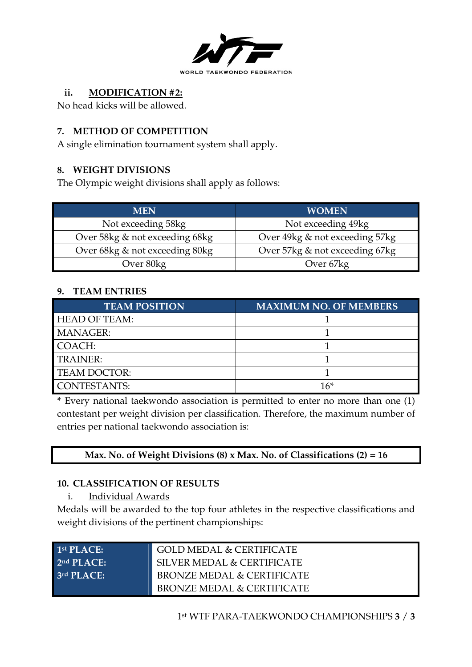

#### **ii. MODIFICATION #2:**

No head kicks will be allowed.

#### **7. METHOD OF COMPETITION**

A single elimination tournament system shall apply.

#### **8. WEIGHT DIVISIONS**

The Olympic weight divisions shall apply as follows:

| <b>MEN</b>                     | <b>WOMEN</b>                   |
|--------------------------------|--------------------------------|
| Not exceeding 58kg             | Not exceeding 49kg             |
| Over 58kg & not exceeding 68kg | Over 49kg & not exceeding 57kg |
| Over 68kg & not exceeding 80kg | Over 57kg & not exceeding 67kg |
| Over 80kg                      | Over 67kg                      |

#### **9. TEAM ENTRIES**

| <b>TEAM POSITION</b> | <b>MAXIMUM NO. OF MEMBERS</b> |
|----------------------|-------------------------------|
| <b>HEAD OF TEAM:</b> |                               |
| <b>MANAGER:</b>      |                               |
| COACH:               |                               |
| <b>TRAINER:</b>      |                               |
| <b>TEAM DOCTOR:</b>  |                               |
| <b>CONTESTANTS:</b>  | 16*                           |

**\*** Every national taekwondo association is permitted to enter no more than one (1) contestant per weight division per classification. Therefore, the maximum number of entries per national taekwondo association is:

#### **Max. No. of Weight Divisions (8) x Max. No. of Classifications (2) = 16**

#### **10. CLASSIFICATION OF RESULTS**

i. Individual Awards

Medals will be awarded to the top four athletes in the respective classifications and weight divisions of the pertinent championships:

| 1st $PIACF$ :          | <b>GOLD MEDAL &amp; CERTIFICATE</b>   |
|------------------------|---------------------------------------|
| 2 <sup>nd</sup> PLACE: | SILVER MEDAL & CERTIFICATE            |
| 3 <sup>rd</sup> PLACE: | <b>BRONZE MEDAL &amp; CERTIFICATE</b> |
|                        | <b>BRONZE MEDAL &amp; CERTIFICATE</b> |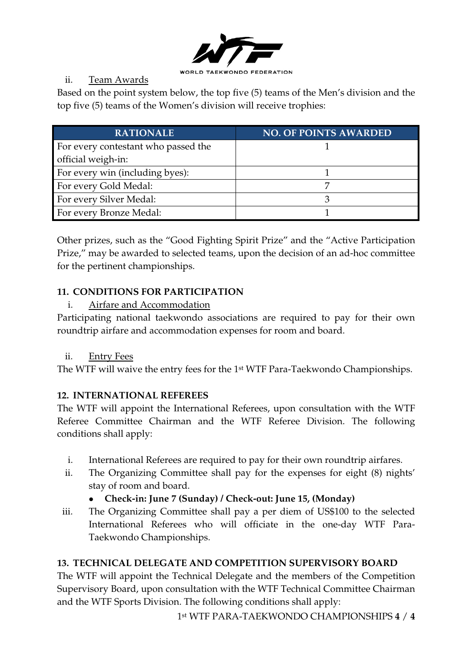

#### ii. Team Awards

Based on the point system below, the top five (5) teams of the Men's division and the top five (5) teams of the Women's division will receive trophies:

| <b>RATIONALE</b>                    | <b>NO. OF POINTS AWARDED</b> |
|-------------------------------------|------------------------------|
| For every contestant who passed the |                              |
| official weigh-in:                  |                              |
| For every win (including byes):     |                              |
| For every Gold Medal:               |                              |
| For every Silver Medal:             |                              |
| For every Bronze Medal:             |                              |

Other prizes, such as the "Good Fighting Spirit Prize" and the "Active Participation Prize," may be awarded to selected teams, upon the decision of an ad-hoc committee for the pertinent championships.

#### **11. CONDITIONS FOR PARTICIPATION**

#### i. Airfare and Accommodation

Participating national taekwondo associations are required to pay for their own roundtrip airfare and accommodation expenses for room and board.

#### ii. Entry Fees

The WTF will waive the entry fees for the 1st WTF Para-Taekwondo Championships.

#### **12. INTERNATIONAL REFEREES**

The WTF will appoint the International Referees, upon consultation with the WTF Referee Committee Chairman and the WTF Referee Division. The following conditions shall apply:

- i. International Referees are required to pay for their own roundtrip airfares.
- ii. The Organizing Committee shall pay for the expenses for eight (8) nights' stay of room and board.

#### **Check-in: June 7 (Sunday) / Check-out: June 15, (Monday)**

iii. The Organizing Committee shall pay a per diem of US\$100 to the selected International Referees who will officiate in the one-day WTF Para-Taekwondo Championships.

#### **13. TECHNICAL DELEGATE AND COMPETITION SUPERVISORY BOARD**

The WTF will appoint the Technical Delegate and the members of the Competition Supervisory Board, upon consultation with the WTF Technical Committee Chairman and the WTF Sports Division. The following conditions shall apply:

1 st WTF PARA-TAEKWONDO CHAMPIONSHIPS **4** / **4**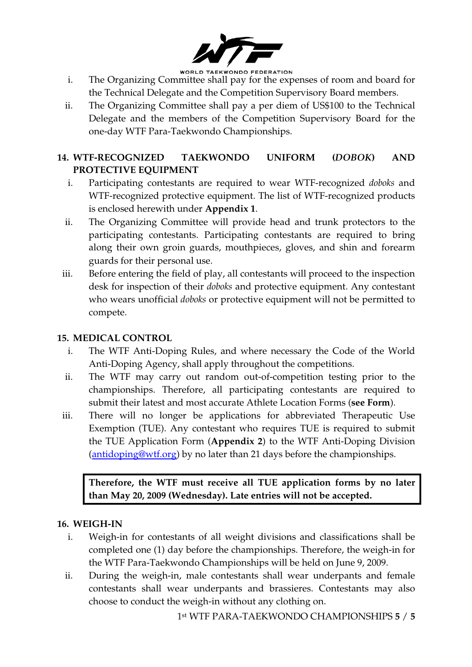

**WORLD TAEKWONDO FEDERATION** 

- i. The Organizing Committee shall pay for the expenses of room and board for the Technical Delegate and the Competition Supervisory Board members.
- ii. The Organizing Committee shall pay a per diem of US\$100 to the Technical Delegate and the members of the Competition Supervisory Board for the one-day WTF Para-Taekwondo Championships.

#### **14. WTF-RECOGNIZED TAEKWONDO UNIFORM (***DOBOK***) AND PROTECTIVE EQUIPMENT**

- i. Participating contestants are required to wear WTF-recognized *doboks* and WTF-recognized protective equipment. The list of WTF-recognized products is enclosed herewith under **Appendix 1**.
- ii. The Organizing Committee will provide head and trunk protectors to the participating contestants. Participating contestants are required to bring along their own groin guards, mouthpieces, gloves, and shin and forearm guards for their personal use.
- iii. Before entering the field of play, all contestants will proceed to the inspection desk for inspection of their *doboks* and protective equipment. Any contestant who wears unofficial *doboks* or protective equipment will not be permitted to compete.

#### **15. MEDICAL CONTROL**

- i. The WTF Anti-Doping Rules, and where necessary the Code of the World Anti-Doping Agency, shall apply throughout the competitions.
- ii. The WTF may carry out random out-of-competition testing prior to the championships. Therefore, all participating contestants are required to submit their latest and most accurate Athlete Location Forms (**see Form**).
- iii. There will no longer be applications for abbreviated Therapeutic Use Exemption (TUE). Any contestant who requires TUE is required to submit the TUE Application Form (**Appendix 2**) to the WTF Anti-Doping Division (antidoping@wtf.org) by no later than 21 days before the championships.

**Therefore, the WTF must receive all TUE application forms by no later than May 20, 2009 (Wednesday). Late entries will not be accepted.** 

#### **16. WEIGH-IN**

- i. Weigh-in for contestants of all weight divisions and classifications shall be completed one (1) day before the championships. Therefore, the weigh-in for the WTF Para-Taekwondo Championships will be held on June 9, 2009.
- ii. During the weigh-in, male contestants shall wear underpants and female contestants shall wear underpants and brassieres. Contestants may also choose to conduct the weigh-in without any clothing on.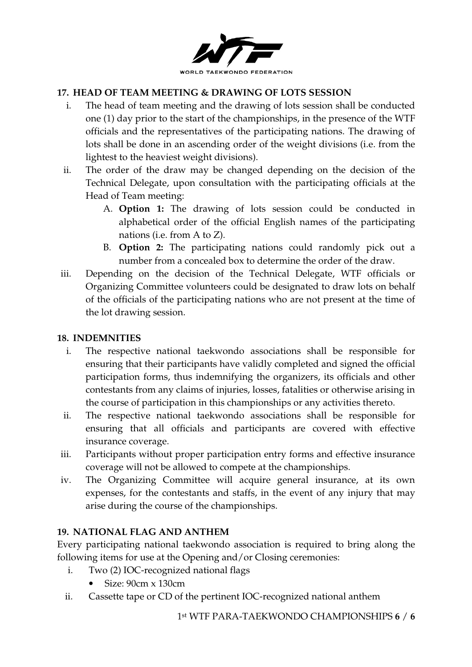

#### **17. HEAD OF TEAM MEETING & DRAWING OF LOTS SESSION**

- i. The head of team meeting and the drawing of lots session shall be conducted one (1) day prior to the start of the championships, in the presence of the WTF officials and the representatives of the participating nations. The drawing of lots shall be done in an ascending order of the weight divisions (i.e. from the lightest to the heaviest weight divisions).
- ii. The order of the draw may be changed depending on the decision of the Technical Delegate, upon consultation with the participating officials at the Head of Team meeting:
	- A. **Option 1:** The drawing of lots session could be conducted in alphabetical order of the official English names of the participating nations (i.e. from A to Z).
	- B. **Option 2:** The participating nations could randomly pick out a number from a concealed box to determine the order of the draw.
- iii. Depending on the decision of the Technical Delegate, WTF officials or Organizing Committee volunteers could be designated to draw lots on behalf of the officials of the participating nations who are not present at the time of the lot drawing session.

#### **18. INDEMNITIES**

- i. The respective national taekwondo associations shall be responsible for ensuring that their participants have validly completed and signed the official participation forms, thus indemnifying the organizers, its officials and other contestants from any claims of injuries, losses, fatalities or otherwise arising in the course of participation in this championships or any activities thereto.
- ii. The respective national taekwondo associations shall be responsible for ensuring that all officials and participants are covered with effective insurance coverage.
- iii. Participants without proper participation entry forms and effective insurance coverage will not be allowed to compete at the championships.
- iv. The Organizing Committee will acquire general insurance, at its own expenses, for the contestants and staffs, in the event of any injury that may arise during the course of the championships.

#### **19. NATIONAL FLAG AND ANTHEM**

Every participating national taekwondo association is required to bring along the following items for use at the Opening and/or Closing ceremonies:

- i. Two (2) IOC-recognized national flags
	- Size: 90cm x 130cm
- ii. Cassette tape or CD of the pertinent IOC-recognized national anthem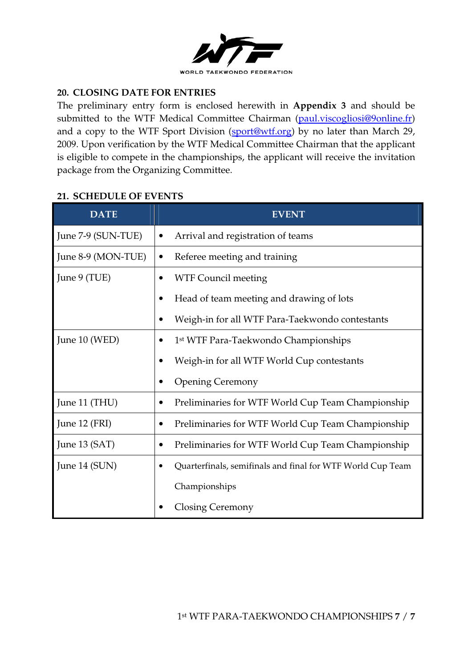

#### **20. CLOSING DATE FOR ENTRIES**

The preliminary entry form is enclosed herewith in **Appendix 3** and should be submitted to the WTF Medical Committee Chairman (paul.viscogliosi@9online.fr) and a copy to the WTF Sport Division (sport@wtf.org) by no later than March 29, 2009. Upon verification by the WTF Medical Committee Chairman that the applicant is eligible to compete in the championships, the applicant will receive the invitation package from the Organizing Committee.

#### **21. SCHEDULE OF EVENTS**

| <b>DATE</b>        |                                                  | <b>EVENT</b>                                               |  |  |  |
|--------------------|--------------------------------------------------|------------------------------------------------------------|--|--|--|
| June 7-9 (SUN-TUE) | ٠                                                | Arrival and registration of teams                          |  |  |  |
| June 8-9 (MON-TUE) | Referee meeting and training<br>$\bullet$        |                                                            |  |  |  |
| June 9 (TUE)       | <b>WTF Council meeting</b>                       |                                                            |  |  |  |
|                    |                                                  | Head of team meeting and drawing of lots                   |  |  |  |
|                    |                                                  | Weigh-in for all WTF Para-Taekwondo contestants            |  |  |  |
| June 10 (WED)      | 1 <sup>st</sup> WTF Para-Taekwondo Championships |                                                            |  |  |  |
|                    |                                                  | Weigh-in for all WTF World Cup contestants                 |  |  |  |
|                    |                                                  | <b>Opening Ceremony</b>                                    |  |  |  |
| June 11 (THU)      |                                                  | Preliminaries for WTF World Cup Team Championship          |  |  |  |
| June 12 (FRI)      |                                                  | Preliminaries for WTF World Cup Team Championship          |  |  |  |
| June $13$ (SAT)    |                                                  | Preliminaries for WTF World Cup Team Championship          |  |  |  |
| June 14 (SUN)      |                                                  | Quarterfinals, semifinals and final for WTF World Cup Team |  |  |  |
|                    |                                                  | Championships                                              |  |  |  |
|                    |                                                  | <b>Closing Ceremony</b>                                    |  |  |  |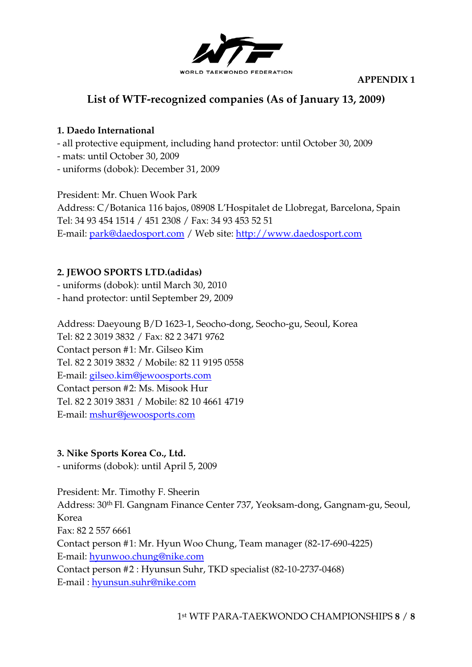

**APPENDIX 1** 

## **List of WTF-recognized companies (As of January 13, 2009)**

#### **1. Daedo International**

- all protective equipment, including hand protector: until October 30, 2009
- mats: until October 30, 2009
- uniforms (dobok): December 31, 2009

President: Mr. Chuen Wook Park Address: C/Botanica 116 bajos, 08908 L'Hospitalet de Llobregat, Barcelona, Spain Tel: 34 93 454 1514 / 451 2308 / Fax: 34 93 453 52 51 E-mail: park@daedosport.com / Web site: http://www.daedosport.com

#### **2. JEWOO SPORTS LTD.(adidas)**

- uniforms (dobok): until March 30, 2010

- hand protector: until September 29, 2009

Address: Daeyoung B/D 1623-1, Seocho-dong, Seocho-gu, Seoul, Korea Tel: 82 2 3019 3832 / Fax: 82 2 3471 9762 Contact person #1: Mr. Gilseo Kim Tel. 82 2 3019 3832 / Mobile: 82 11 9195 0558 E-mail: gilseo.kim@jewoosports.com Contact person #2: Ms. Misook Hur Tel. 82 2 3019 3831 / Mobile: 82 10 4661 4719 E-mail: mshur@jewoosports.com

#### **3. Nike Sports Korea Co., Ltd.**

- uniforms (dobok): until April 5, 2009

President: Mr. Timothy F. Sheerin Address: 30th Fl. Gangnam Finance Center 737, Yeoksam-dong, Gangnam-gu, Seoul, Korea Fax: 82 2 557 6661 Contact person #1: Mr. Hyun Woo Chung, Team manager (82-17-690-4225) E-mail: hyunwoo.chung@nike.com Contact person #2 : Hyunsun Suhr, TKD specialist (82-10-2737-0468) E-mail : hyunsun.suhr@nike.com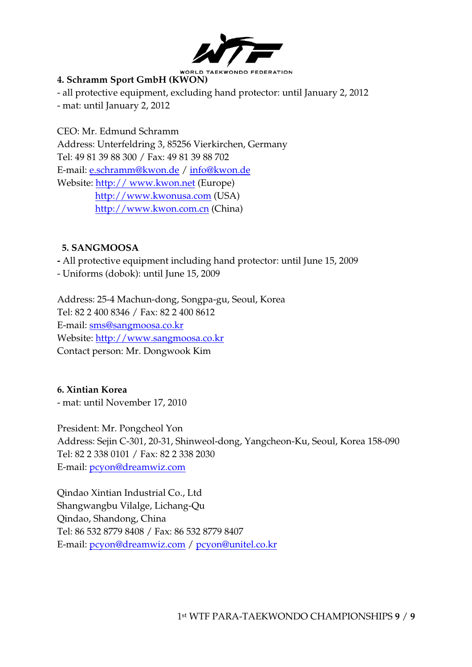

#### **4. Schramm Sport GmbH (KWON)**

- all protective equipment, excluding hand protector: until January 2, 2012 - mat: until January 2, 2012

CEO: Mr. Edmund Schramm Address: Unterfeldring 3, 85256 Vierkirchen, Germany Tel: 49 81 39 88 300 / Fax: 49 81 39 88 702 E-mail: e.schramm@kwon.de / info@kwon.de Website: http:// www.kwon.net (Europe) http://www.kwonusa.com (USA) http://www.kwon.com.cn (China)

#### **5. SANGMOOSA**

**-** All protective equipment including hand protector: until June 15, 2009

- Uniforms (dobok): until June 15, 2009

Address: 25-4 Machun-dong, Songpa-gu, Seoul, Korea Tel: 82 2 400 8346 / Fax: 82 2 400 8612 E-mail: sms@sangmoosa.co.kr Website: http://www.sangmoosa.co.kr Contact person: Mr. Dongwook Kim

**6. Xintian Korea**  - mat: until November 17, 2010

President: Mr. Pongcheol Yon Address: Sejin C-301, 20-31, Shinweol-dong, Yangcheon-Ku, Seoul, Korea 158-090 Tel: 82 2 338 0101 / Fax: 82 2 338 2030 E-mail: pcyon@dreamwiz.com

Qindao Xintian Industrial Co., Ltd Shangwangbu Vilalge, Lichang-Qu Qindao, Shandong, China Tel: 86 532 8779 8408 / Fax: 86 532 8779 8407 E-mail: pcyon@dreamwiz.com / pcyon@unitel.co.kr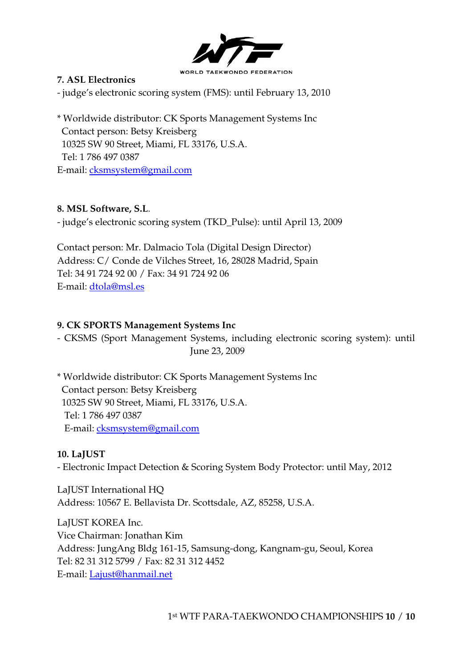

#### **7. ASL Electronics**

- judge's electronic scoring system (FMS): until February 13, 2010

\* Worldwide distributor: CK Sports Management Systems Inc Contact person: Betsy Kreisberg 10325 SW 90 Street, Miami, FL 33176, U.S.A. Tel: 1 786 497 0387 E-mail: cksmsystem@gmail.com

#### **8. MSL Software, S.L**.

- judge's electronic scoring system (TKD\_Pulse): until April 13, 2009

Contact person: Mr. Dalmacio Tola (Digital Design Director) Address: C/ Conde de Vilches Street, 16, 28028 Madrid, Spain Tel: 34 91 724 92 00 / Fax: 34 91 724 92 06 E-mail: dtola@msl.es

#### **9. CK SPORTS Management Systems Inc**

- CKSMS (Sport Management Systems, including electronic scoring system): until June 23, 2009

\* Worldwide distributor: CK Sports Management Systems Inc Contact person: Betsy Kreisberg 10325 SW 90 Street, Miami, FL 33176, U.S.A. Tel: 1 786 497 0387 E-mail: cksmsystem@gmail.com

#### **10. LaJUST**

- Electronic Impact Detection & Scoring System Body Protector: until May, 2012

LaJUST International HQ Address: 10567 E. Bellavista Dr. Scottsdale, AZ, 85258, U.S.A.

LaJUST KOREA Inc. Vice Chairman: Jonathan Kim Address: JungAng Bldg 161-15, Samsung-dong, Kangnam-gu, Seoul, Korea Tel: 82 31 312 5799 / Fax: 82 31 312 4452 E-mail: Lajust@hanmail.net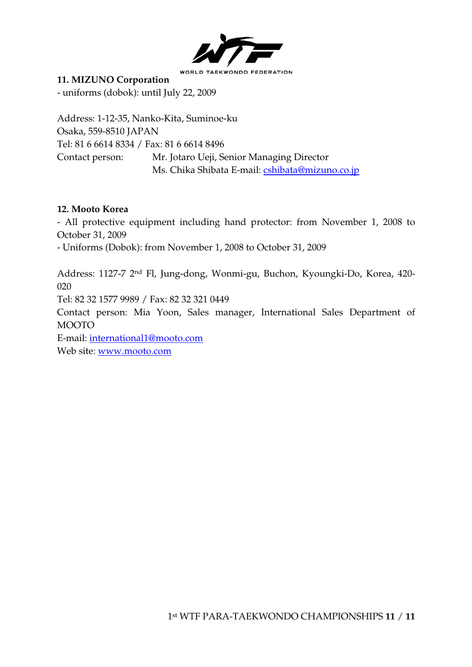

#### **11. MIZUNO Corporation**

- uniforms (dobok): until July 22, 2009

Address: 1-12-35, Nanko-Kita, Suminoe-ku Osaka, 559-8510 JAPAN Tel: 81 6 6614 8334 / Fax: 81 6 6614 8496 Contact person: Mr. Jotaro Ueji, Senior Managing Director Ms. Chika Shibata E-mail: cshibata@mizuno.co.jp

#### **12. Mooto Korea**

- All protective equipment including hand protector: from November 1, 2008 to October 31, 2009

- Uniforms (Dobok): from November 1, 2008 to October 31, 2009

Address: 1127-7 2nd Fl, Jung-dong, Wonmi-gu, Buchon, Kyoungki-Do, Korea, 420- 020 Tel: 82 32 1577 9989 / Fax: 82 32 321 0449

Contact person: Mia Yoon, Sales manager, International Sales Department of MOOTO

E-mail: international1@mooto.com

Web site: www.mooto.com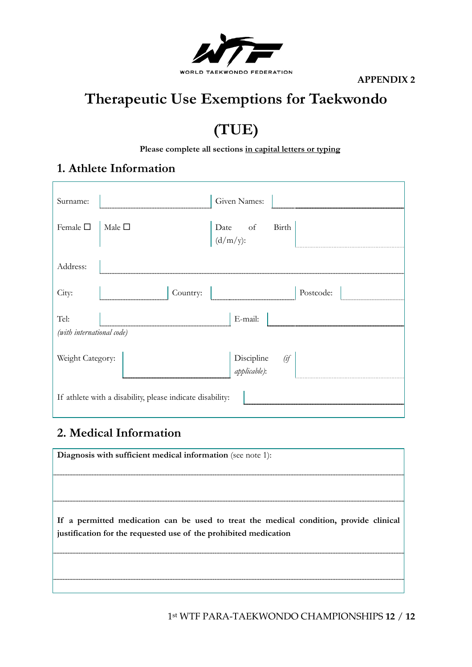

**APPENDIX 2** 

# **Therapeutic Use Exemptions for Taekwondo**

# **(TUE)**

**Please complete all sections in capital letters or typing**

## **1. Athlete Information**

| Surname:                                                  |                    | Given Names:                   |  |
|-----------------------------------------------------------|--------------------|--------------------------------|--|
| Female $\square$                                          | $\mid$ Male $\Box$ | Date of Birth $(d/m/y)$ :      |  |
| Address:                                                  |                    |                                |  |
| City:                                                     | Country:           | Postcode:                      |  |
| Tel:<br>(with international code)                         |                    | E-mail:                        |  |
| Weight Category:                                          |                    | Discipline (if<br>applicable): |  |
| If athlete with a disability, please indicate disability: |                    |                                |  |

## **2. Medical Information**

| Diagnosis with sufficient medical information (see note 1):                                                                                                |
|------------------------------------------------------------------------------------------------------------------------------------------------------------|
|                                                                                                                                                            |
| If a permitted medication can be used to treat the medical condition, provide clinical<br>justification for the requested use of the prohibited medication |
|                                                                                                                                                            |

1 st WTF PARA-TAEKWONDO CHAMPIONSHIPS **12** / **12**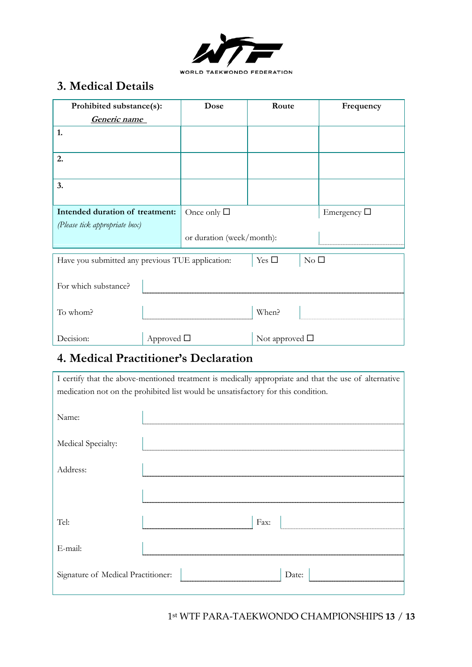

## **3. Medical Details**

| Prohibited substance(s):                         |                    | Dose                      | Route                          | Frequency        |
|--------------------------------------------------|--------------------|---------------------------|--------------------------------|------------------|
| Generic name                                     |                    |                           |                                |                  |
| 1.                                               |                    |                           |                                |                  |
| 2.                                               |                    |                           |                                |                  |
| 3.                                               |                    |                           |                                |                  |
| Intended duration of treatment:                  |                    | Once only $\square$       |                                | Emergency $\Box$ |
| (Please tick appropriate box)                    |                    |                           |                                |                  |
|                                                  |                    | or duration (week/month): |                                |                  |
| Have you submitted any previous TUE application: |                    |                           | Yes $\square$<br>$\rm No~\Box$ |                  |
|                                                  |                    |                           |                                |                  |
| For which substance?                             |                    |                           |                                |                  |
| To whom?                                         |                    |                           | When?                          |                  |
| Decision:                                        | Approved $\square$ |                           | Not approved $\square$         |                  |

## **4. Medical Practitioner's Declaration**

I certify that the above-mentioned treatment is medically appropriate and that the use of alternative medication not on the prohibited list would be unsatisfactory for this condition.

| Name:                              |           |
|------------------------------------|-----------|
| Medical Specialty:                 |           |
| Address:                           |           |
|                                    |           |
| Tel:                               | Fax:      |
| E-mail:                            |           |
| Signature of Medical Practitioner: | Date:<br> |

1 st WTF PARA-TAEKWONDO CHAMPIONSHIPS **13** / **13**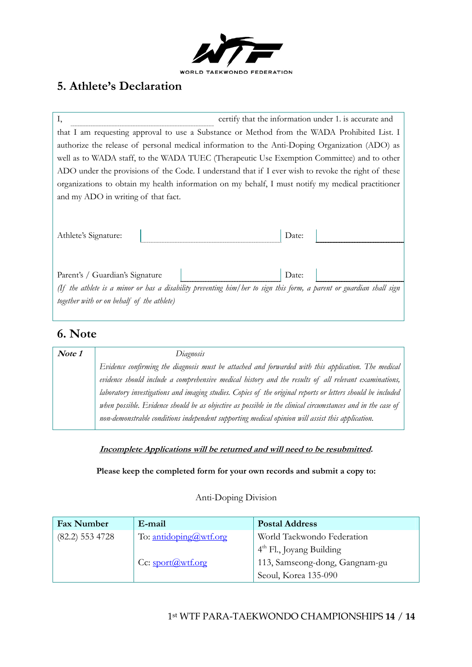

## **5. Athlete's Declaration**

| Ι,                                                                                                                                                                 | certify that the information under 1. is accurate and |
|--------------------------------------------------------------------------------------------------------------------------------------------------------------------|-------------------------------------------------------|
| that I am requesting approval to use a Substance or Method from the WADA Prohibited List. I                                                                        |                                                       |
| authorize the release of personal medical information to the Anti-Doping Organization (ADO) as                                                                     |                                                       |
| well as to WADA staff, to the WADA TUEC (Therapeutic Use Exemption Committee) and to other                                                                         |                                                       |
| ADO under the provisions of the Code. I understand that if I ever wish to revoke the right of these                                                                |                                                       |
| organizations to obtain my health information on my behalf, I must notify my medical practitioner                                                                  |                                                       |
| and my ADO in writing of that fact.                                                                                                                                |                                                       |
| Athlete's Signature:                                                                                                                                               | Date:                                                 |
| Parent's / Guardian's Signature                                                                                                                                    | Date:                                                 |
| (If the athlete is a minor or has a disability preventing him/her to sign this form, a parent or guardian shall sign<br>together with or on behalf of the athlete) |                                                       |

## **6. Note**

| Note 1 | Diagnosis                                                                                                   |
|--------|-------------------------------------------------------------------------------------------------------------|
|        | Evidence confirming the diagnosis must be attached and forwarded with this application. The medical         |
|        | evidence should include a comprehensive medical history and the results of all relevant examinations,       |
|        | laboratory investigations and imaging studies. Copies of the original reports or letters should be included |
|        | when possible. Evidence should be as objective as possible in the clinical circumstances and in the case of |
|        | non-demonstrable conditions independent supporting medical opinion will assist this application.            |

#### **Incomplete Applications will be returned and will need to be resubmitted.**

**Please keep the completed form for your own records and submit a copy to:** 

#### Anti-Doping Division

| <b>Fax Number</b> | E-mail                 | <b>Postal Address</b>          |
|-------------------|------------------------|--------------------------------|
| $(82.2)$ 553 4728 | To: antidoping@wtf.org | World Taekwondo Federation     |
|                   |                        | $4th$ Fl., Joyang Building     |
|                   | Cc: sport@wtf.org      | 113, Samseong-dong, Gangnam-gu |
|                   |                        | Seoul, Korea 135-090           |

#### 1 st WTF PARA-TAEKWONDO CHAMPIONSHIPS **14** / **14**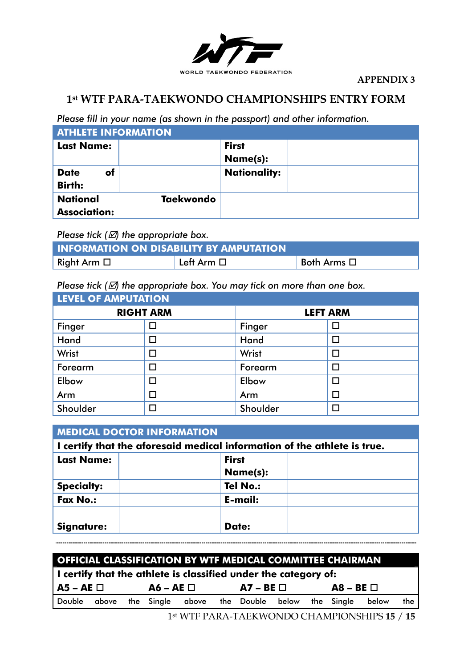

### **1st WTF PARA-TAEKWONDO CHAMPIONSHIPS ENTRY FORM**

*Please fill in your name (as shown in the passport) and other information.* 

| <b>ATHLETE INFORMATION</b>             |                  |                          |  |  |  |  |
|----------------------------------------|------------------|--------------------------|--|--|--|--|
| <b>Last Name:</b>                      |                  | <b>First</b><br>Name(s): |  |  |  |  |
| of<br><b>Date</b><br><b>Birth:</b>     |                  | <b>Nationality:</b>      |  |  |  |  |
| <b>National</b><br><b>Association:</b> | <b>Taekwondo</b> |                          |  |  |  |  |

*Please tick (* $\varnothing$ *) the appropriate box.* 

| <b>INFORMATION ON DISABILITY BY AMPUTATION</b> |              |                     |  |  |  |
|------------------------------------------------|--------------|---------------------|--|--|--|
| Right Arm $\square$                            | ' Left Arm □ | Both Arms $\square$ |  |  |  |

*Please tick (* $\mathbb{Z}$ *) the appropriate box. You may tick on more than one box.* 

| <b>LEVEL OF AMPUTATION</b> |        |                 |   |  |  |  |
|----------------------------|--------|-----------------|---|--|--|--|
| <b>RIGHT ARM</b>           |        | <b>LEFT ARM</b> |   |  |  |  |
| Finger                     |        | Finger          |   |  |  |  |
| Hand                       |        | Hand            | П |  |  |  |
| Wrist                      | $\Box$ | Wrist           | П |  |  |  |
| Forearm                    | Π      | Forearm         | П |  |  |  |
| Elbow                      |        | Elbow           | П |  |  |  |
| Arm                        |        | Arm             |   |  |  |  |
| Shoulder                   |        | Shoulder        | П |  |  |  |

| <b>MEDICAL DOCTOR INFORMATION</b> |                                                                          |  |  |  |  |
|-----------------------------------|--------------------------------------------------------------------------|--|--|--|--|
|                                   | I certify that the aforesaid medical information of the athlete is true. |  |  |  |  |
| <b>Last Name:</b>                 | <b>First</b>                                                             |  |  |  |  |
|                                   | <b>Name(s):</b>                                                          |  |  |  |  |
| <b>Specialty:</b>                 | <b>Tel No.:</b>                                                          |  |  |  |  |
| <b>Fax No.:</b>                   | E-mail:                                                                  |  |  |  |  |
|                                   |                                                                          |  |  |  |  |
| <b>Signature:</b>                 | Date:                                                                    |  |  |  |  |

| <b>OFFICIAL CLASSIFICATION BY WTF MEDICAL COMMITTEE CHAIRMAN</b>        |  |  |                                          |  |  |                |  |                |       |     |
|-------------------------------------------------------------------------|--|--|------------------------------------------|--|--|----------------|--|----------------|-------|-----|
| $\vert$ I certify that the athlete is classified under the category of: |  |  |                                          |  |  |                |  |                |       |     |
| l A5 – AE □                                                             |  |  | $\overline{A6}$ – $\overline{AE}$ $\Box$ |  |  | $AY - BE \Box$ |  | $AB - BE \Box$ |       |     |
| Double above the Single above the Double below the Single               |  |  |                                          |  |  |                |  |                | below | the |

1 st WTF PARA-TAEKWONDO CHAMPIONSHIPS **15** / **15**